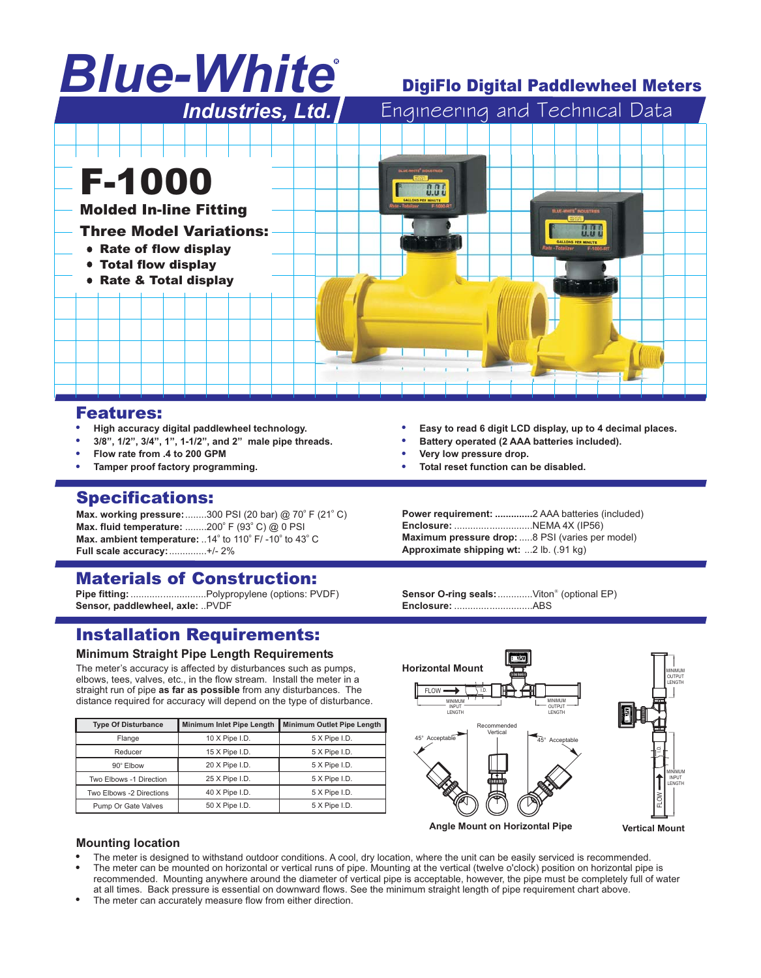# *Blue-White* R

# DigiFlo Digital Paddlewheel Meters



### Features:

- -**High accuracy digital paddlewheel technology.**
- -**3/8", 1/2", 3/4", 1", 1-1/2", and 2" male pipe threads.**
- -**Flow rate from .4 to 200 GPM**
- -**Tamper proof factory programming.**

## Specifications:

**Max. working pressure:**........300 PSI (20 bar) @ 70° F (21° C) **Max. fluid temperature:** ........200° F (93° C) @ 0 PSI Max. ambient temperature: ..14° to 110° F/ -10° to 43° C **Full scale accuracy:**..............+/- 2%

# Materials of Construction:

**Pipe fitting:**............................Polypropylene (options: PVDF) **Sensor, paddlewheel, axle:** ..PVDF

# Installation Requirements:

#### **Minimum Straight Pipe Length Requirements**

The meter's accuracy is affected by disturbances such as pumps, elbows, tees, valves, etc., in the flow stream. Install the meter in a straight run of pipe **as far as possible** from any disturbances. The distance required for accuracy will depend on the type of disturbance.

| <b>Type Of Disturbance</b> | <b>Minimum Inlet Pipe Length</b> | <b>Minimum Outlet Pipe Length</b> |  |  |
|----------------------------|----------------------------------|-----------------------------------|--|--|
| Flange                     | 10 X Pipe I.D.                   | 5 X Pipe I.D.                     |  |  |
| Reducer                    | 15 X Pipe I.D.                   | 5 X Pipe I.D.                     |  |  |
| 90° Elbow                  | 20 X Pipe I.D.                   | 5 X Pipe I.D.                     |  |  |
| Two Elbows -1 Direction    | 25 X Pipe I.D.                   | 5 X Pipe I.D.                     |  |  |
| Two Elbows -2 Directions   | $40$ X Pipe I.D.                 | 5 X Pipe I.D.                     |  |  |
| Pump Or Gate Valves        | 50 X Pipe I.D.                   | 5 X Pipe I.D.                     |  |  |

- -**Easy to read 6 digit LCD display, up to 4 decimal places.**
- -**Battery operated (2 AAA batteries included).**
- -**Very low pressure drop.**
- -**Total reset function can be disabled.**

**Power requirement: ..............**2 AAA batteries (included) **Enclosure:** .............................NEMA 4X (IP56) **Maximum pressure drop:**.....8 PSI (varies per model) **Approximate shipping wt:** ...2 lb. (.91 kg)

Sensor O-ring seals: .............Viton<sup>®</sup> (optional EP) **Enclosure:** .............................ABS



#### **Mounting location**

- --The meter is designed to withstand outdoor conditions. A cool, dry location, where the unit can be easily serviced is recommended.
- The meter can be mounted on horizontal or vertical runs of pipe. Mounting at the vertical (twelve o'clock) position on horizontal pipe is recommended. Mounting anywhere around the diameter of vertical pipe is acceptable, however, the pipe must be completely full of water at all times. Back pressure is essential on downward flows. See the minimum straight length of pipe requirement chart above.
- The meter can accurately measure flow from either direction.